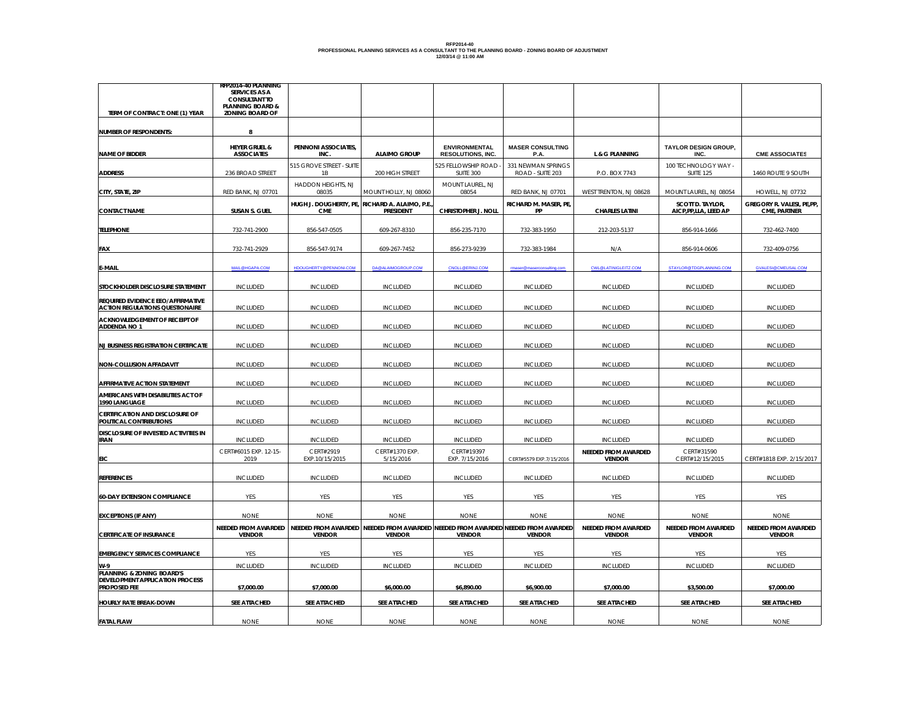## RFP2014-40<br>PROFESSIONAL PLANNING SERVICES AS A CONSULTANT TO THE PLANNING BOARD - ZONING BOARD OF ADJUSTMENT<br>12/03/14 @ 11:00 AM

|                                                                             | RFP2014-40 PLANNING                            |                             |                                                                                     |                          |                                 |                             |                                     |                            |
|-----------------------------------------------------------------------------|------------------------------------------------|-----------------------------|-------------------------------------------------------------------------------------|--------------------------|---------------------------------|-----------------------------|-------------------------------------|----------------------------|
|                                                                             | <b>SERVICES AS A</b>                           |                             |                                                                                     |                          |                                 |                             |                                     |                            |
|                                                                             | <b>CONSULTANT TO</b>                           |                             |                                                                                     |                          |                                 |                             |                                     |                            |
| TERM OF CONTRACT: ONE (1) YEAR                                              | <b>PLANNING BOARD &amp;</b><br>ZONING BOARD OF |                             |                                                                                     |                          |                                 |                             |                                     |                            |
|                                                                             |                                                |                             |                                                                                     |                          |                                 |                             |                                     |                            |
|                                                                             |                                                |                             |                                                                                     |                          |                                 |                             |                                     |                            |
| <b>NUMBER OF RESPONDENTS:</b>                                               | 8                                              |                             |                                                                                     |                          |                                 |                             |                                     |                            |
|                                                                             |                                                |                             |                                                                                     | <b>ENVIRONMENTAL</b>     |                                 |                             |                                     |                            |
| <b>NAME OF BIDDER</b>                                                       | <b>HEYER GRUEL &amp;</b><br><b>ASSOCIATES</b>  | PENNONI ASSOCIATES,<br>INC. | <b>ALAIMO GROUP</b>                                                                 | <b>RESOLUTIONS, INC.</b> | <b>MASER CONSULTING</b><br>P.A. | <b>L &amp; G PLANNING</b>   | <b>TAYLOR DESIGN GROUP,</b><br>INC. | <b>CME ASSOCIATES</b>      |
|                                                                             |                                                |                             |                                                                                     |                          |                                 |                             |                                     |                            |
|                                                                             |                                                | 515 GROVE STREET - SUITE    |                                                                                     | 525 FELLOWSHIP ROAD -    | 331 NEWMAN SPRINGS              |                             | 100 TECHNOLOGY WAY -                |                            |
| <b>ADDRESS</b>                                                              | 236 BROAD STREET                               | 1B                          | 200 HIGH STREET                                                                     | SUITE 300                | ROAD - SUITE 203                | P.O. BOX 7743               | <b>SUITE 125</b>                    | 1460 ROUTE 9 SOUTH         |
|                                                                             |                                                | HADDON HEIGHTS, NJ          |                                                                                     | MOUNT LAUREL, NJ         |                                 |                             |                                     |                            |
| CITY, STATE, ZIP                                                            | RED BANK, NJ 07701                             | 08035                       | MOUNT HOLLY, NJ 08060                                                               | 08054                    | RED BANK, NJ 07701              | WEST TRENTON, NJ 08628      | MOUNT LAUREL, NJ 08054              | HOWELL, NJ 07732           |
|                                                                             |                                                |                             | HUGH J. DOUGHERTY, PE, RICHARD A. ALAIMO, P.E.                                      |                          | RICHARD M. MASER, PE,           |                             | <b>SCOTT D. TAYLOR,</b>             | GREGORY R. VALESI, PE, PP, |
| <b>CONTACT NAME</b>                                                         | SUSAN S. GUEL                                  | <b>CME</b>                  | PRESIDENT                                                                           | CHRISTOPHER J. NOLL      | PP                              | <b>CHARLES LATINI</b>       | AICP, PP, LLA, LEED AP              | CME, PARTNER               |
|                                                                             |                                                |                             |                                                                                     |                          |                                 |                             |                                     |                            |
| <b>TELEPHONE</b>                                                            | 732-741-2900                                   | 856-547-0505                | 609-267-8310                                                                        | 856-235-7170             | 732-383-1950                    | 212-203-5137                | 856-914-1666                        | 732-462-7400               |
|                                                                             |                                                |                             |                                                                                     |                          |                                 |                             |                                     |                            |
|                                                                             |                                                |                             |                                                                                     |                          |                                 |                             |                                     |                            |
| <b>FAX</b>                                                                  | 732-741-2929                                   | 856-547-9174                | 609-267-7452                                                                        | 856-273-9239             | 732-383-1984                    | N/A                         | 856-914-0606                        | 732-409-0756               |
|                                                                             |                                                |                             |                                                                                     |                          |                                 |                             |                                     |                            |
| E-MAIL                                                                      | MAIL@HGAPA.COM                                 | HDOUGHERTY@PENNONI.COM      | DA@ALAIMOGROUP.COM                                                                  | CNOLL@ERINJ.COM          |                                 | <b>CWL@LATINIGLEITZ.COM</b> | STAYLOR@TDGPLANNING.COM             | <b>GVALESI@CMEUSAL.COM</b> |
|                                                                             |                                                |                             |                                                                                     |                          |                                 |                             |                                     |                            |
| STOCKHOLDER DISCLOSURE STATEMENT                                            | <b>INCLUDED</b>                                | <b>INCLUDED</b>             | <b>INCLUDED</b>                                                                     | <b>INCLUDED</b>          | <b>INCLUDED</b>                 | <b>INCLUDED</b>             | <b>INCLUDED</b>                     | <b>INCLUDED</b>            |
|                                                                             |                                                |                             |                                                                                     |                          |                                 |                             |                                     |                            |
| REQUIRED EVIDENCE EEO/AFFIRMATIVE<br><b>ACTION REGULATIONS QUESTIONAIRE</b> | <b>INCLUDED</b>                                | <b>INCLUDED</b>             | <b>INCLUDED</b>                                                                     | <b>INCLUDED</b>          | <b>INCLUDED</b>                 | <b>INCLUDED</b>             |                                     | <b>INCLUDED</b>            |
|                                                                             |                                                |                             |                                                                                     |                          |                                 |                             | <b>INCLUDED</b>                     |                            |
| ACKNOWLEDGEMENT OF RECEIPT OF                                               |                                                |                             |                                                                                     |                          |                                 |                             |                                     |                            |
| ADDENDA NO 1                                                                | <b>INCLUDED</b>                                | <b>INCLUDED</b>             | <b>INCLUDED</b>                                                                     | <b>INCLUDED</b>          | <b>INCLUDED</b>                 | <b>INCLUDED</b>             | <b>INCLUDED</b>                     | <b>INCLUDED</b>            |
|                                                                             |                                                |                             |                                                                                     |                          |                                 |                             |                                     |                            |
| <b>NJ BUSINESS REGISTRATION CERTIFICATE</b>                                 | <b>INCLUDED</b>                                | <b>INCLUDED</b>             | <b>INCLUDED</b>                                                                     | <b>INCLUDED</b>          | <b>INCLUDED</b>                 | <b>INCLUDED</b>             | <b>INCLUDED</b>                     | <b>INCLUDED</b>            |
|                                                                             |                                                |                             |                                                                                     |                          |                                 |                             |                                     |                            |
| <b>NON-COLLUSION AFFADAVIT</b>                                              | <b>INCLUDED</b>                                | <b>INCLUDED</b>             | <b>INCLUDED</b>                                                                     | <b>INCLUDED</b>          | <b>INCLUDED</b>                 | <b>INCLUDED</b>             | <b>INCLUDED</b>                     | <b>INCLUDED</b>            |
|                                                                             |                                                |                             |                                                                                     |                          |                                 |                             |                                     |                            |
| AFFIRMATIVE ACTION STATEMENT                                                | <b>INCLUDED</b>                                | INCLUDED                    | <b>INCLUDED</b>                                                                     | <b>INCLUDED</b>          | <b>INCLUDED</b>                 | INCLUDED                    | INCLUDED                            | <b>INCLUDED</b>            |
|                                                                             |                                                |                             |                                                                                     |                          |                                 |                             |                                     |                            |
| AMERICANS WITH DISABILITIES ACT OF                                          |                                                |                             |                                                                                     |                          |                                 |                             |                                     |                            |
| 1990 LANGUAGE                                                               | <b>INCLUDED</b>                                | <b>INCLUDED</b>             | <b>INCLUDED</b>                                                                     | <b>INCLUDED</b>          | <b>INCLUDED</b>                 | <b>INCLUDED</b>             | <b>INCLUDED</b>                     | <b>INCLUDED</b>            |
| <b>CERTIFICATION AND DISCLOSURE OF</b>                                      |                                                |                             |                                                                                     |                          |                                 |                             |                                     |                            |
| POLITICAL CONTRIBUTIONS                                                     | <b>INCLUDED</b>                                | <b>INCLUDED</b>             | <b>INCLUDED</b>                                                                     | <b>INCLUDED</b>          | <b>INCLUDED</b>                 | <b>INCLUDED</b>             | <b>INCLUDED</b>                     | <b>INCLUDED</b>            |
| DISCLOSURE OF INVESTED ACTIVITIES IN                                        |                                                |                             |                                                                                     |                          |                                 |                             |                                     |                            |
| <b>IRAN</b>                                                                 | <b>INCLUDED</b>                                | <b>INCLUDED</b>             | <b>INCLUDED</b>                                                                     | <b>INCLUDED</b>          | <b>INCLUDED</b>                 | <b>INCLUDED</b>             | <b>INCLUDED</b>                     | <b>INCLUDED</b>            |
|                                                                             | CERT#6015 EXP. 12-15-                          | CERT#2919                   | CERT#1370 EXP.                                                                      | CERT#19397               |                                 | NEEDED FROM AWARDED         | CERT#31590                          |                            |
| EIC                                                                         | 2019                                           | EXP.10/15/2015              | 5/15/2016                                                                           | EXP. 7/15/2016           | CERT#5579 EXP.7/15/2016         | <b>VENDOR</b>               | CERT#12/15/2015                     | CERT#1818 EXP. 2/15/2017   |
|                                                                             |                                                |                             |                                                                                     |                          |                                 |                             |                                     |                            |
| <b>REFERENCES</b>                                                           | <b>INCLUDED</b>                                | <b>INCLUDED</b>             | <b>INCLUDED</b>                                                                     | <b>INCLUDED</b>          | <b>INCLUDED</b>                 | <b>INCLUDED</b>             | <b>INCLUDED</b>                     | <b>INCLUDED</b>            |
|                                                                             |                                                |                             |                                                                                     |                          |                                 |                             |                                     |                            |
|                                                                             | YES                                            |                             |                                                                                     | YES                      |                                 | YES                         |                                     | YES                        |
| <b>60-DAY EXTENSION COMPLIANCE</b>                                          |                                                | YES                         | YES                                                                                 |                          | YES                             |                             | YES                                 |                            |
|                                                                             |                                                |                             |                                                                                     |                          |                                 |                             |                                     |                            |
| <b>EXCEPTIONS (IF ANY)</b>                                                  | <b>NONE</b>                                    | <b>NONE</b>                 | <b>NONE</b>                                                                         | <b>NONE</b>              | <b>NONE</b>                     | <b>NONE</b>                 | <b>NONE</b>                         | <b>NONE</b>                |
|                                                                             | NEEDED FROM AWARDED                            |                             | NEEDED FROM AWARDED   NEEDED FROM AWARDED   NEEDED FROM AWARDED NEEDED FROM AWARDED |                          |                                 | NEEDED FROM AWARDED         | NEEDED FROM AWARDED                 | NEEDED FROM AWARDED        |
| <b>CERTIFICATE OF INSURANCE</b>                                             | <b>VENDOR</b>                                  | <b>VENDOR</b>               | <b>VENDOR</b>                                                                       | <b>VENDOR</b>            | <b>VENDOR</b>                   | <b>VENDOR</b>               | <b>VENDOR</b>                       | <b>VENDOR</b>              |
|                                                                             |                                                |                             |                                                                                     |                          |                                 |                             |                                     |                            |
| <b>EMERGENCY SERVICES COMPLIANCE</b>                                        | YES                                            | YES                         | YES                                                                                 | YES                      | YES                             | YES                         | YES                                 | YES                        |
|                                                                             |                                                |                             |                                                                                     |                          |                                 |                             |                                     |                            |
| $W-9$<br>PLANNING & ZONING BOARD'S                                          | <b>INCLUDED</b>                                | INCLUDED                    | INCLUDED                                                                            | INCLUDED                 | INCLUDED                        | INCLUDED                    | INCLUDED                            | INCLUDED                   |
| DEVELOPMENT APPLICATION PROCESS                                             |                                                |                             |                                                                                     |                          |                                 |                             |                                     |                            |
| PROPOSED FEE                                                                | \$7,000.00                                     | \$7,000.00                  | \$6,000.00                                                                          | \$6,890.00               | \$6,900.00                      | \$7,000.00                  | \$3,500.00                          | \$7,000.00                 |
|                                                                             |                                                |                             |                                                                                     |                          |                                 |                             |                                     |                            |
| HOURLY RATE BREAK-DOWN                                                      | SEE ATTACHED                                   | SEE ATTACHED                | SEE ATTACHED                                                                        | SEE ATTACHED             | <b>SEE ATTACHED</b>             | SEE ATTACHED                | SEE ATTACHED                        | SEE ATTACHED               |
|                                                                             |                                                |                             |                                                                                     |                          |                                 |                             |                                     |                            |
| <b>FATAL FLAW</b>                                                           | <b>NONE</b>                                    | <b>NONE</b>                 | <b>NONE</b>                                                                         | <b>NONE</b>              | <b>NONE</b>                     | <b>NONE</b>                 | <b>NONE</b>                         | <b>NONE</b>                |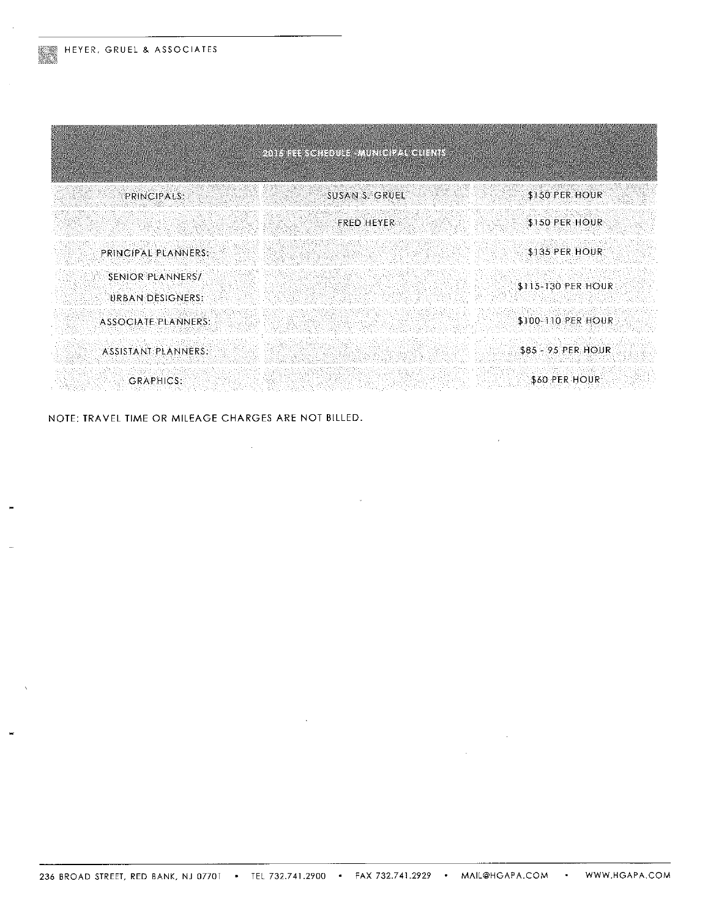| 2015 FEL SCHEDULE MUNICIPAL CUENTS |                                         |                    |  |  |
|------------------------------------|-----------------------------------------|--------------------|--|--|
| PRINCIPALS:                        | SUSAN S. GRUEL                          | \$150 PER HOUR     |  |  |
|                                    | <b>FRED HEYER</b>                       | \$150 PER HOUR     |  |  |
| <b>PRINCIPAL PLANNERS:</b>         |                                         | \$135 PER HOUR     |  |  |
| SENIOR PLANNERS/                   |                                         | \$115-130 PER HOUR |  |  |
| URBAN DESIGNERS.                   |                                         |                    |  |  |
| <b>ASSOCIATE PLANNERS:</b>         |                                         | \$100-110 PER HOUR |  |  |
| ASSISTANT PLANNERS:                |                                         | \$85 - 95 PER HOUR |  |  |
| <b>GRAPHICS:</b>                   | 11번 가르만 할아버지 12 29 21 100 000 1000 1000 | \$60 PER HOUR      |  |  |

NOTE: TRAVEL TIME OR MILEAGE CHARGES ARE NOT BILLED.

 $\sim 10^{-1}$ 

 $\mathcal{L}^{\mathcal{L}}$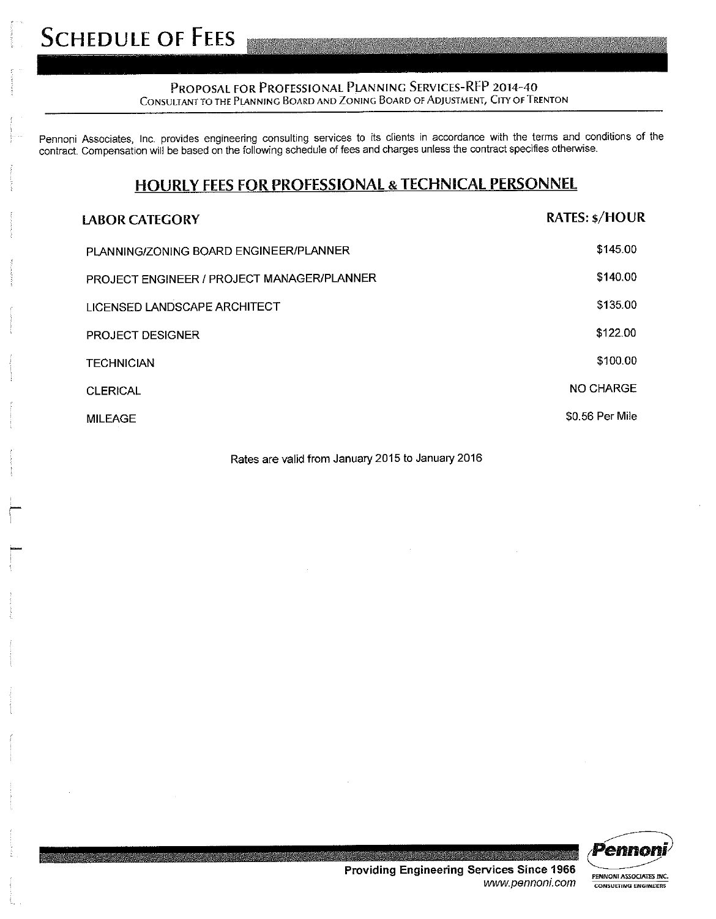#### PROPOSAL FOR PROFESSIONAL PLANNING SERVICES-RFP 2014-40 CONSULTANT TO THE PLANNING BOARD AND ZONING BOARD OF ADJUSTMENT, CITY OF TRENTON

Pennoni Associates, Inc. provides engineering consulting services to its clients in accordance with the terms and conditions of the contract. Compensation will be based on the following schedule of fees and charges unless the contract specifies otherwise.

### **HOURLY FEES FOR PROFESSIONAL & TECHNICAL PERSONNEL**

| <b>LABOR CATEGORY</b>                      | <b>RATES: \$/HOUR</b> |
|--------------------------------------------|-----------------------|
| PLANNING/ZONING BOARD ENGINEER/PLANNER     | \$145.00              |
| PROJECT ENGINEER / PROJECT MANAGER/PLANNER | \$140.00              |
| LICENSED LANDSCAPE ARCHITECT               | \$135.00              |
| <b>PROJECT DESIGNER</b>                    | \$122.00              |
| <b>TECHNICIAN</b>                          | \$100.00              |
| <b>CLERICAL</b>                            | NO CHARGE             |
| <b>MILEAGE</b>                             | \$0.56 Per Mile       |

Rates are valid from January 2015 to January 2016



**Providing Engineering Services Since 1966** www.pennoni.com

PENNONI ASSOCIATES INC. **CONSULTING ENGINEERS**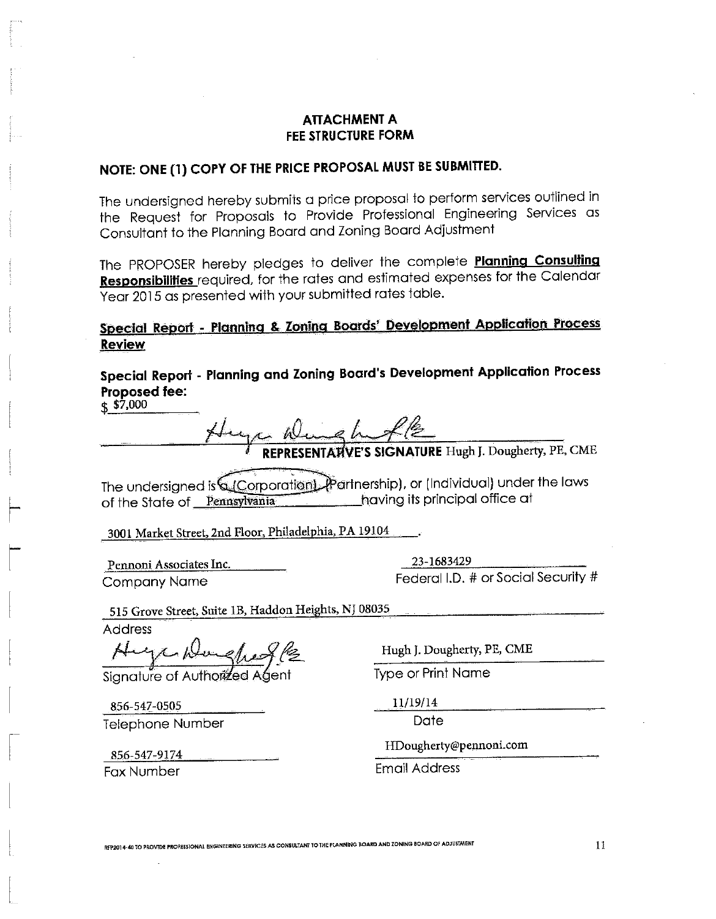### **ATTACHMENT A** FEE STRUCTURE FORM

## NOTE: ONE (1) COPY OF THE PRICE PROPOSAL MUST BE SUBMITTED.

The undersigned hereby submits a price proposal to perform services outlined in the Request for Proposals to Provide Professional Engineering Services as Consultant to the Planning Board and Zoning Board Adjustment

The PROPOSER hereby pledges to deliver the complete Planning Consulting **Responsibilities** required, for the rates and estimated expenses for the Calendar Year 2015 as presented with your submitted rates table.

## Special Report - Planning & Zoning Boards' Development Application Process **Review**

Special Report - Planning and Zoning Board's Development Application Process Proposed fee:

 $\frac{1}{2}$  \$7,000

The undersigned is Corporation). Partnership), or (Individual) under the laws **Example 2015** having its principal office at of the State of Pennsylvania

3001 Market Street, 2nd Floor, Philadelphia, PA 19104

Pennoni Associates Inc. **Company Name** 

23-1683429 Federal I.D. # or Social Security #

515 Grove Street, Suite 1B, Haddon Heights, NJ 08035

Address

Huge Dungfregle

856-547-0505 Telephone Number

856-547-9174 Fax Number

Hugh J. Dougherty, PE, CME

**Type or Print Name** 

11/19/14

Date

HDougherty@pennoni.com

**Email Address** 

RFP2014-40 TO PROVIDE PROFESSIONAL ENGINEERING SERVICES AS CONSULTANT TO THE PLANNING BOARD AND ZONING BOARD OF ADJUSTMENI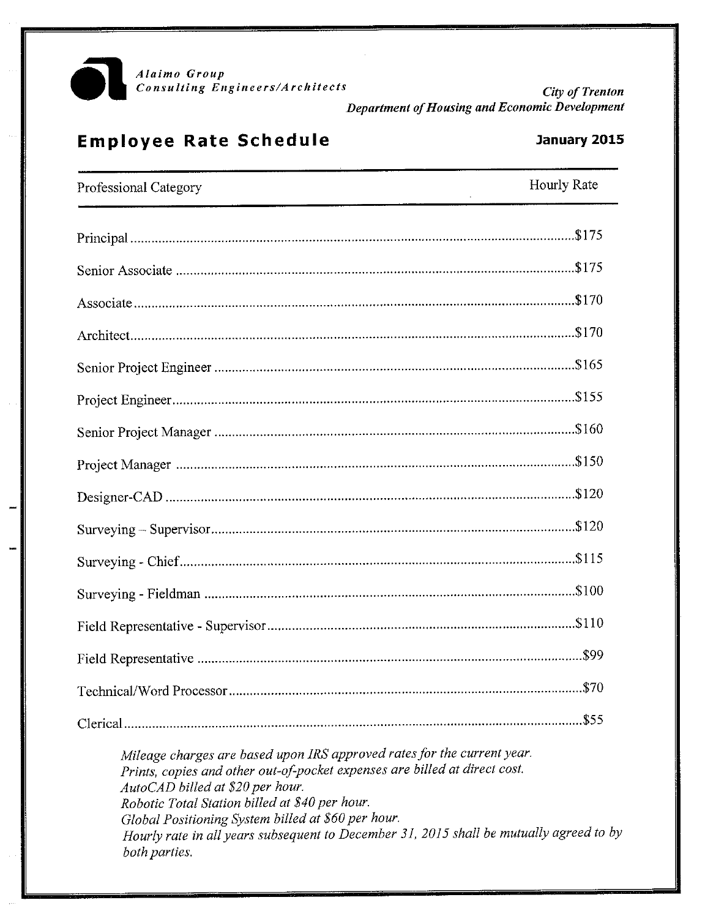

City of Trenton Department of Housing and Economic Development

# **Employee Rate Schedule**

## January 2015

| Professional Category                                                                                                                                                                                                                                                                                                                                                                                         | Hourly Rate |
|---------------------------------------------------------------------------------------------------------------------------------------------------------------------------------------------------------------------------------------------------------------------------------------------------------------------------------------------------------------------------------------------------------------|-------------|
|                                                                                                                                                                                                                                                                                                                                                                                                               |             |
|                                                                                                                                                                                                                                                                                                                                                                                                               |             |
|                                                                                                                                                                                                                                                                                                                                                                                                               |             |
|                                                                                                                                                                                                                                                                                                                                                                                                               |             |
|                                                                                                                                                                                                                                                                                                                                                                                                               |             |
|                                                                                                                                                                                                                                                                                                                                                                                                               |             |
|                                                                                                                                                                                                                                                                                                                                                                                                               |             |
|                                                                                                                                                                                                                                                                                                                                                                                                               |             |
|                                                                                                                                                                                                                                                                                                                                                                                                               |             |
|                                                                                                                                                                                                                                                                                                                                                                                                               |             |
|                                                                                                                                                                                                                                                                                                                                                                                                               |             |
|                                                                                                                                                                                                                                                                                                                                                                                                               |             |
|                                                                                                                                                                                                                                                                                                                                                                                                               |             |
|                                                                                                                                                                                                                                                                                                                                                                                                               |             |
|                                                                                                                                                                                                                                                                                                                                                                                                               |             |
|                                                                                                                                                                                                                                                                                                                                                                                                               |             |
| Mileage charges are based upon IRS approved rates for the current year.<br>Prints, copies and other out-of-pocket expenses are billed at direct cost.<br>AutoCAD billed at \$20 per hour.<br>Robotic Total Station billed at \$40 per hour.<br>Global Positioning System billed at \$60 per hour.<br>Hourly rate in all years subsequent to December 31, 2015 shall be mutually agreed to by<br>both parties. |             |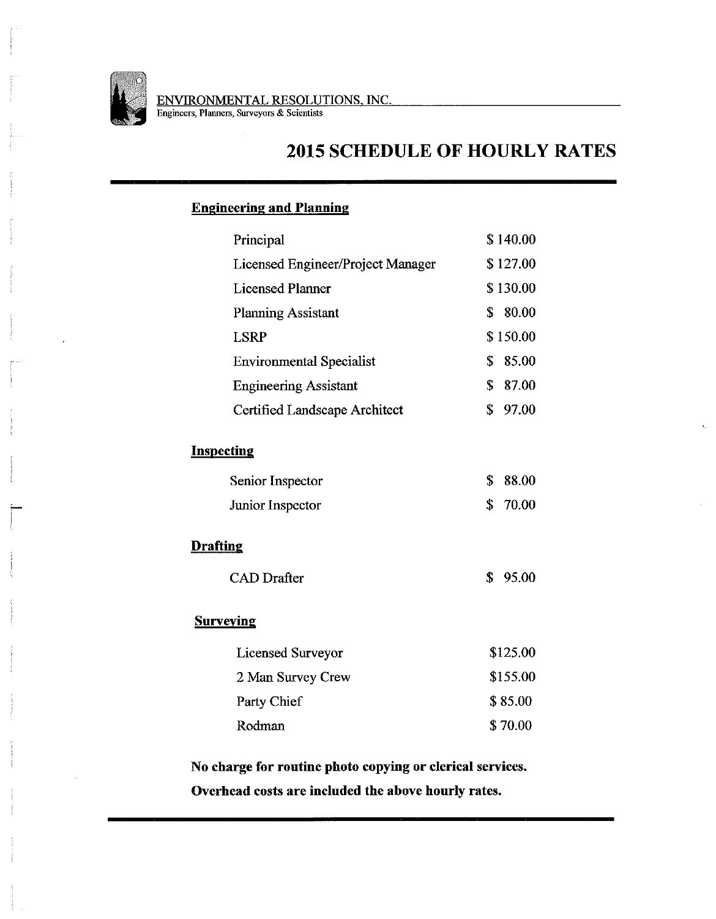

# **2015 SCHEDULE OF HOURLY RATES**

### **Engineering and Planning**

| Principal                         | \$140.00             |
|-----------------------------------|----------------------|
| Licensed Engineer/Project Manager | \$127.00             |
| <b>Licensed Planner</b>           | \$130.00             |
| <b>Planning Assistant</b>         | 80.00<br>\$          |
| <b>LSRP</b>                       | \$150.00             |
| <b>Environmental Specialist</b>   | \$<br>85.00          |
| <b>Engineering Assistant</b>      | \$<br>87.00          |
| Certified Landscape Architect     | \$<br>97.00          |
| <b>Inspecting</b>                 |                      |
| Senior Inspector                  | \$<br>88.00          |
| Junior Inspector                  | $\mathbf S$<br>70.00 |
| <b>Drafting</b>                   |                      |
| <b>CAD</b> Drafter                | \$<br>95.00          |
| <b>Surveying</b>                  |                      |
| <b>Licensed Surveyor</b>          | \$125.00             |
| 2 Man Survey Crew                 | \$155.00             |
| Party Chief                       | \$85.00              |
| Rodman                            | \$70.00              |
|                                   |                      |

No charge for routine photo copying or clerical services. Overhead costs are included the above hourly rates.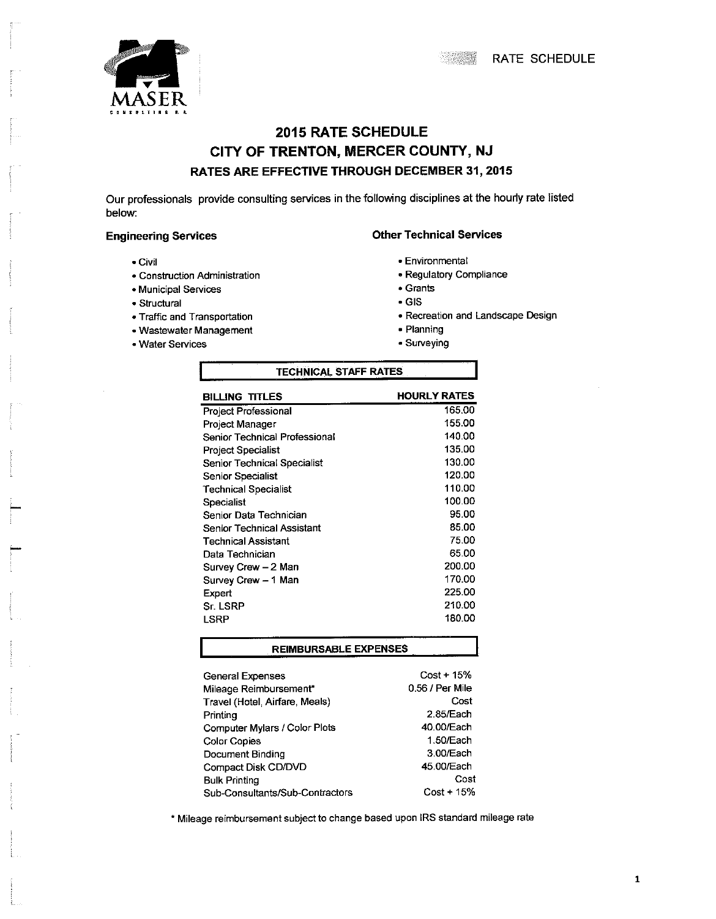



## **2015 RATE SCHEDULE** CITY OF TRENTON, MERCER COUNTY, NJ RATES ARE EFFECTIVE THROUGH DECEMBER 31, 2015

Our professionals provide consulting services in the following disciplines at the hourly rate listed below:

#### **Engineering Services**

- Civil
- · Construction Administration
- · Municipal Services
- · Structural
- Traffic and Transportation
- Wastewater Management
- Water Services
- **Other Technical Services** 
	- Environmental
	- · Regulatory Compliance
	- Grants
	- $\cdot$  GIS
	- Recreation and Landscape Design
	- Planning
	- · Surveying

| TECHNICAL STAFF RATES         |                     |  |  |
|-------------------------------|---------------------|--|--|
| BILLING TITLES                | <b>HOURLY RATES</b> |  |  |
| <b>Project Professional</b>   | 165.00              |  |  |
| Project Manager               | 155.00              |  |  |
| Senior Technical Professional | 140.00              |  |  |
| <b>Project Specialist</b>     | 135.00              |  |  |
| Senior Technical Specialist   | 130.00              |  |  |
| Senior Specialist             | 120.00              |  |  |
| <b>Technical Specialist</b>   | 110.00              |  |  |
| Specialist                    | 100.00              |  |  |
| Senior Data Technician        | 95.00               |  |  |
| Senior Technical Assistant    | 85.00               |  |  |
| Technical Assistant           | 75.00               |  |  |
| Data Technician               | 65.00               |  |  |
| Survey Crew - 2 Man           | 200.00              |  |  |
| Survey Crew - 1 Man           | 170.00              |  |  |
| Expert                        | 225.00              |  |  |
| Sr. LSRP                      | 210.00              |  |  |
| LSRP                          | 180.00              |  |  |
|                               |                     |  |  |

#### **REIMBURSABLE EXPENSES**

| <b>General Expenses</b>         | $Cost + 15%$    |
|---------------------------------|-----------------|
| Mileage Reimbursement*          | 0.56 / Per Mile |
| Travel (Hotel, Airfare, Meals)  | Cost            |
| Printing                        | 2.85/Each       |
| Computer Mylars / Color Plots   | 40.00/Each      |
| <b>Color Copies</b>             | 1.50/Each       |
| Document Binding                | 3.00/Each       |
| Compact Disk CD/DVD             | 45.00/Each      |
| <b>Bulk Printing</b>            | Cost            |
| Sub-Consultants/Sub-Contractors | $Cost + 15%$    |

\* Mileage reimbursement subject to change based upon IRS standard mileage rate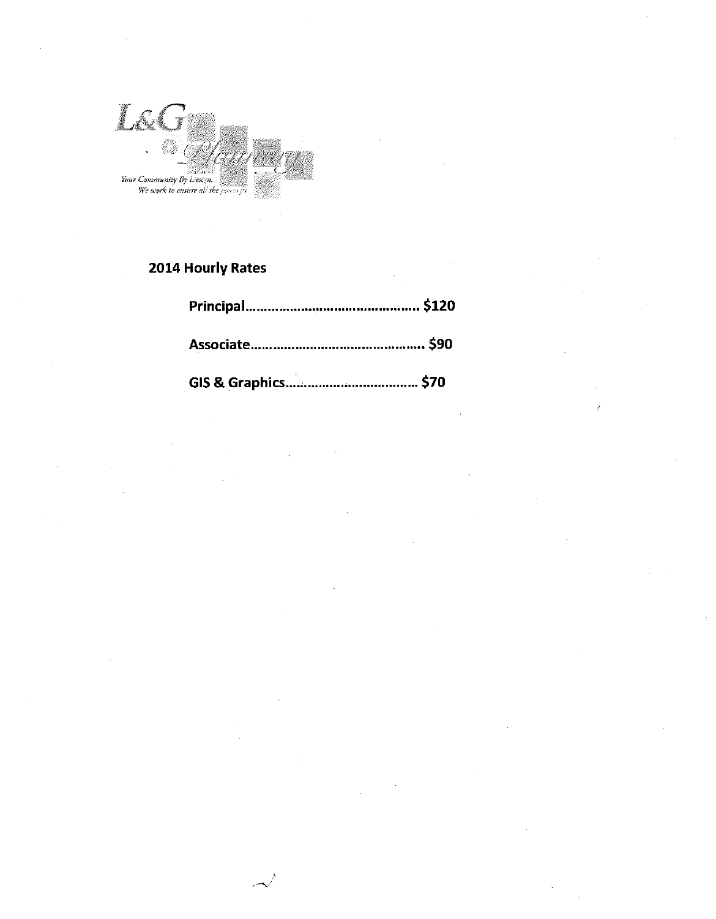

## 2014 Hourly Rates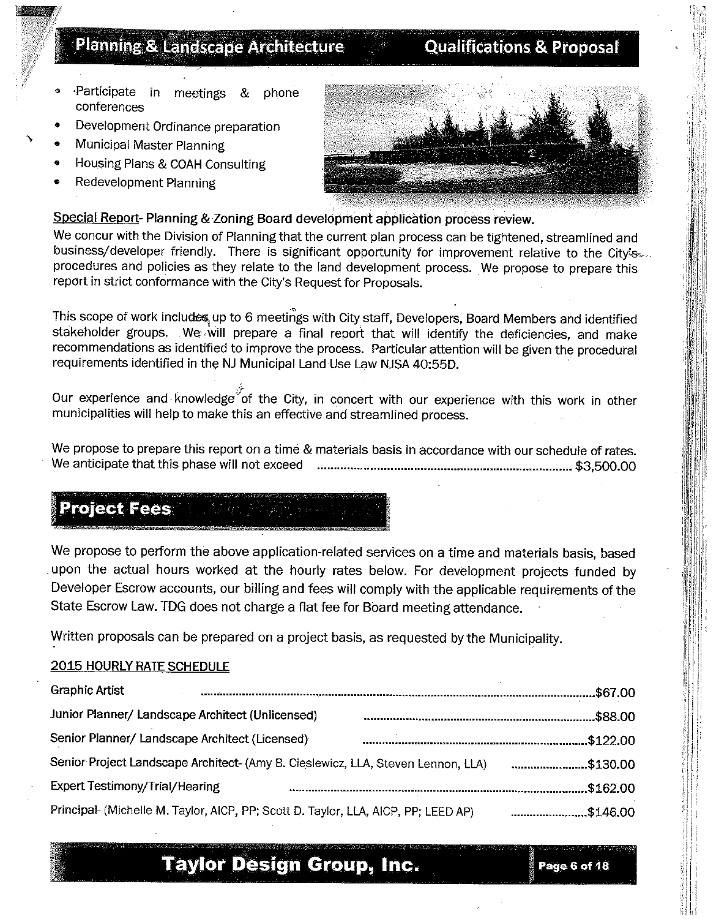# **Planning & Landscape Architecture**

# **Qualifications & Proposal**

- Participate in meetings phone -8 conferences
- Development Ordinance preparation
- Municipal Master Planning
- Housing Plans & COAH Consulting
- **Redevelopment Planning**



Special Report-Planning & Zoning Board development application process review.

We concur with the Division of Planning that the current plan process can be tightened, streamlined and business/developer friendly. There is significant opportunity for improvement relative to the City's procedures and policies as they relate to the land development process. We propose to prepare this report in strict conformance with the City's Request for Proposals.

This scope of work includes up to 6 meetings with City staff, Developers, Board Members and identified stakeholder groups. We will prepare a final report that will identify the deficiencies, and make recommendations as identified to improve the process. Particular attention will be given the procedural requirements identified in the NJ Municipal Land Use Law NJSA 40:55D.

Our experience and knowledge of the City, in concert with our experience with this work in other municipalities will help to make this an effective and streamlined process.

We propose to prepare this report on a time & materials basis in accordance with our schedule of rates. 

# **Project Fees**

We propose to perform the above application-related services on a time and materials basis, based upon the actual hours worked at the hourly rates below. For development projects funded by Developer Escrow accounts, our billing and fees will comply with the applicable requirements of the State Escrow Law. TDG does not charge a flat fee for Board meeting attendance.

Written proposals can be prepared on a project basis, as requested by the Municipality.

### **2015 HOURLY RATE SCHEDULE**

| <b>Graphic Artist</b>                                                              |          |
|------------------------------------------------------------------------------------|----------|
| Junior Planner/ Landscape Architect (Unlicensed)                                   | .\$88.00 |
| Senior Planner/ Landscape Architect (Licensed)                                     | \$122.00 |
| Senior Project Landscape Architect- (Amy B. Cieslewicz, LLA, Steven Lennon, LLA)   | \$130.00 |
| <b>Expert Testimony/Trial/Hearing</b>                                              | \$162.00 |
| Principal- (Michelle M. Taylor, AICP, PP; Scott D. Taylor, LLA, AICP, PP; LEED AP) | \$146.00 |

# **Taylor Design Group, Inc.**